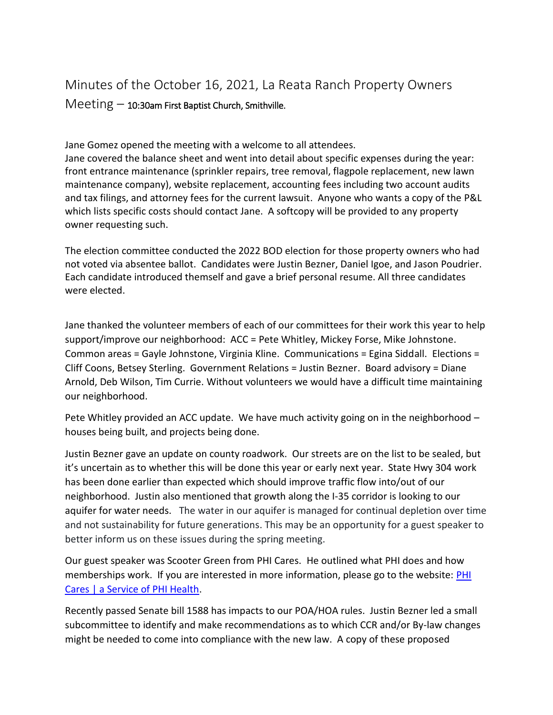## Minutes of the October 16, 2021, La Reata Ranch Property Owners  $Meeting - 10:30$ am First Baptist Church, Smithville.

Jane Gomez opened the meeting with a welcome to all attendees.

Jane covered the balance sheet and went into detail about specific expenses during the year: front entrance maintenance (sprinkler repairs, tree removal, flagpole replacement, new lawn maintenance company), website replacement, accounting fees including two account audits and tax filings, and attorney fees for the current lawsuit. Anyone who wants a copy of the P&L which lists specific costs should contact Jane. A softcopy will be provided to any property owner requesting such.

The election committee conducted the 2022 BOD election for those property owners who had not voted via absentee ballot. Candidates were Justin Bezner, Daniel Igoe, and Jason Poudrier. Each candidate introduced themself and gave a brief personal resume. All three candidates were elected.

Jane thanked the volunteer members of each of our committees for their work this year to help support/improve our neighborhood: ACC = Pete Whitley, Mickey Forse, Mike Johnstone. Common areas = Gayle Johnstone, Virginia Kline. Communications = Egina Siddall. Elections = Cliff Coons, Betsey Sterling. Government Relations = Justin Bezner. Board advisory = Diane Arnold, Deb Wilson, Tim Currie. Without volunteers we would have a difficult time maintaining our neighborhood.

Pete Whitley provided an ACC update. We have much activity going on in the neighborhood – houses being built, and projects being done.

Justin Bezner gave an update on county roadwork. Our streets are on the list to be sealed, but it's uncertain as to whether this will be done this year or early next year. State Hwy 304 work has been done earlier than expected which should improve traffic flow into/out of our neighborhood. Justin also mentioned that growth along the I-35 corridor is looking to our aquifer for water needs. The water in our aquifer is managed for continual depletion over time and not sustainability for future generations. This may be an opportunity for a guest speaker to better inform us on these issues during the spring meeting.

Our guest speaker was Scooter Green from PHI Cares. He outlined what PHI does and how memberships work. If you are interested in more information, please go to the website: PHI [Cares | a Service of PHI Health.](https://phicares.com/)

Recently passed Senate bill 1588 has impacts to our POA/HOA rules. Justin Bezner led a small subcommittee to identify and make recommendations as to which CCR and/or By-law changes might be needed to come into compliance with the new law. A copy of these proposed